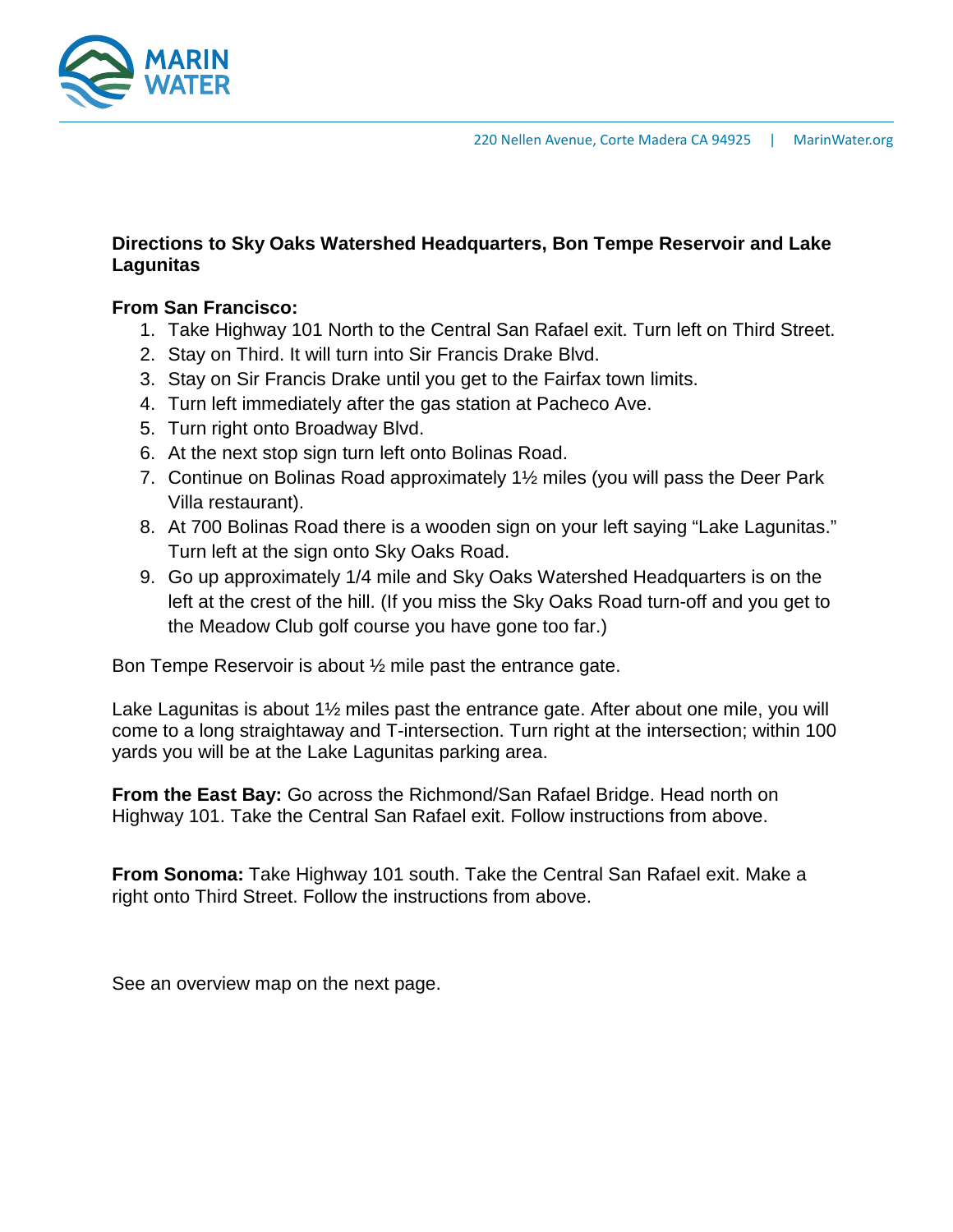

## **Directions to Sky Oaks Watershed Headquarters, Bon Tempe Reservoir and Lake Lagunitas**

## **From San Francisco:**

- 1. Take Highway 101 North to the Central San Rafael exit. Turn left on Third Street.
- 2. Stay on Third. It will turn into Sir Francis Drake Blvd.
- 3. Stay on Sir Francis Drake until you get to the Fairfax town limits.
- 4. Turn left immediately after the gas station at Pacheco Ave.
- 5. Turn right onto Broadway Blvd.
- 6. At the next stop sign turn left onto Bolinas Road.
- 7. Continue on Bolinas Road approximately 1½ miles (you will pass the Deer Park Villa restaurant).
- 8. At 700 Bolinas Road there is a wooden sign on your left saying "Lake Lagunitas." Turn left at the sign onto Sky Oaks Road.
- 9. Go up approximately 1/4 mile and Sky Oaks Watershed Headquarters is on the left at the crest of the hill. (If you miss the Sky Oaks Road turn-off and you get to the Meadow Club golf course you have gone too far.)

Bon Tempe Reservoir is about ½ mile past the entrance gate.

Lake Lagunitas is about  $1\frac{1}{2}$  miles past the entrance gate. After about one mile, you will come to a long straightaway and T-intersection. Turn right at the intersection; within 100 yards you will be at the Lake Lagunitas parking area.

**From the East Bay:** Go across the Richmond/San Rafael Bridge. Head north on Highway 101. Take the Central San Rafael exit. Follow instructions from above.

**From Sonoma:** Take Highway 101 south. Take the Central San Rafael exit. Make a right onto Third Street. Follow the instructions from above.

See an overview map on the next page.